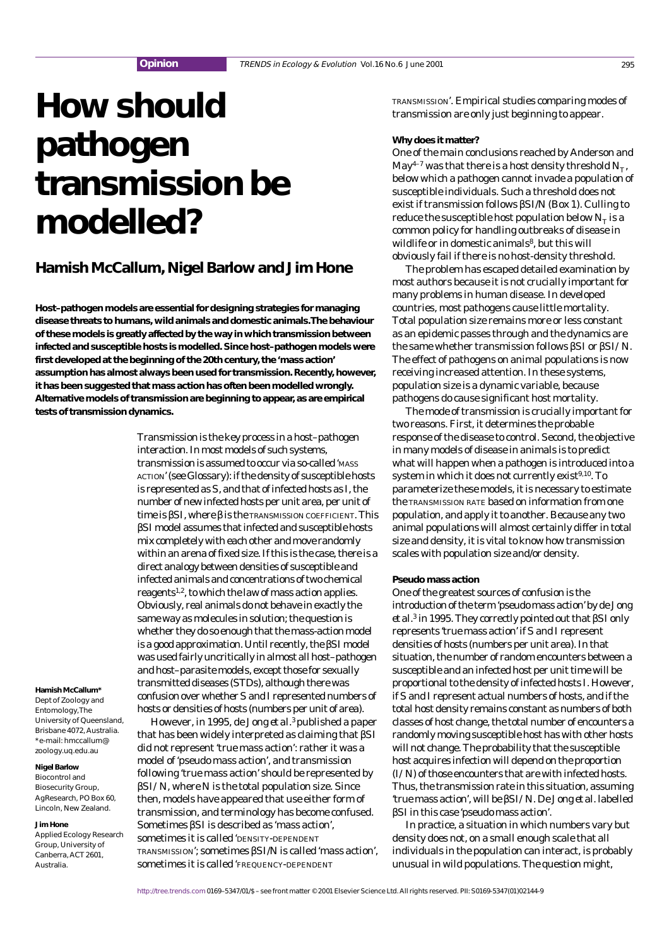# **How should pathogen transmission be modelled?**

## **Hamish McCallum, Nigel Barlow and Jim Hone**

**Host–pathogen models are essential for designing strategies for managing disease threats to humans, wild animals and domestic animals.The behaviour of these models is greatly affected by the way in which transmission between infected and susceptible hosts is modelled. Since host–pathogen models were first developed at the beginning of the 20th century, the 'mass action' assumption has almost always been used for transmission. Recently, however, it has been suggested that mass action has often been modelled wrongly. Alternative models of transmission are beginning to appear, as are empirical tests of transmission dynamics.**

> Transmission is the key process in a host–pathogen interaction. In most models of such systems, transmission is assumed to occur via so-called 'MASS ACTION' (see Glossary): if the density of susceptible hosts is represented as *S*, and that of infected hosts as *I*, the number of new infected hosts per unit area, per unit of time is β*SI*, where β is the TRANSMISSION COEFFICIENT. This β*SI* model assumes that infected and susceptible hosts mix completely with each other and move randomly within an arena of fixed size. If this is the case, there is a direct analogy between densities of susceptible and infected animals and concentrations of two chemical reagents1,2, to which the law of mass action applies. Obviously, real animals do not behave in exactly the same way as molecules in solution; the question is whether they do so enough that the mass-action model is a good approximation. Until recently, the β*SI* model was used fairly uncritically in almost all host–pathogen and host–parasite models, except those for sexually transmitted diseases (STDs), although there was confusion over whether *S*and *I* represented numbers of hosts or densities of hosts (numbers per unit of area).

> However, in 1995, de Jong *et al.*3published a paper that has been widely interpreted as claiming that β*SI* did not represent 'true mass action': rather it was a model of 'pseudo mass action', and transmission following 'true mass action' should be represented by β*SI/N*, where *N* is the total population size. Since then, models have appeared that use either form of transmission, and terminology has become confused.

Sometimes β*SI* is described as 'mass action', sometimes it is called 'DENSITY-DEPENDENT

sometimes it is called 'FREQUENCY-DEPENDENT

TRANSMISSION'; sometimes β*SI*/*N* is called 'mass action',

**Hamish McCallum\***

Dept of Zoology and Entomology, The University of Queensland, Brisbane 4072, Australia. \*e-mail: hmccallum@ zoology.uq.edu.au

## **Nigel Barlow**

Biocontrol and Biosecurity Group, AgResearch, PO Box 60, Lincoln, New Zealand.

#### **Jim Hone**

Applied Ecology Research Group, University of Canberra, ACT 2601, Australia.

TRANSMISSION'. Empirical studies comparing modes of transmission are only just beginning to appear.

## **Why does it matter?**

One of the main conclusions reached by Anderson and May<sup>4-7</sup> was that there is a host density threshold  $N_T$ , below which a pathogen cannot invade a population of susceptible individuals. Such a threshold does not exist if transmission follows β*SI*/*N* (Box 1). Culling to reduce the susceptible host population below  $N<sub>r</sub>$  is a common policy for handling outbreaks of disease in wildlife or in domestic animals<sup>8</sup>, but this will obviously fail if there is no host-density threshold.

The problem has escaped detailed examination by most authors because it is not crucially important for many problems in human disease. In developed countries, most pathogens cause little mortality. Total population size remains more or less constant as an epidemic passes through and the dynamics are the same whether transmission follows β*SI* or β*SI/N.* The effect of pathogens on animal populations is now receiving increased attention. In these systems, population size is a dynamic variable, because pathogens do cause significant host mortality.

The mode of transmission is crucially important for two reasons. First, it determines the probable response of the disease to control. Second, the objective in many models of disease in animals is to predict what will happen when a pathogen is introduced into a system in which it does not currently exist $9,10$ . To parameterize these models, it is necessary to estimate the TRANSMISSION RATE based on information from one population, and apply it to another. Because any two animal populations will almost certainly differ in total size and density, it is vital to know how transmission scales with population size and/or density.

## **Pseudo mass action**

One of the greatest sources of confusion is the introduction of the term 'pseudo mass action' by de Jong *et al.*<sup>3</sup> in 1995. They correctly pointed out that β*SI* only represents 'true mass action' if *S* and *I* represent densities of hosts (numbers per unit area). In that situation, the number of random encounters between a susceptible and an infected host per unit time will be proportional to the density of infected hosts *I*. However, if *S* and *I* represent actual numbers of hosts, and if the total host density remains constant as numbers of both classes of host change, the total number of encounters a randomly moving susceptible host has with other hosts will not change. The probability that the susceptible host acquires infection will depend on the proportion (*I/N*) of those encounters that are with infected hosts. Thus, the transmission rate in this situation, assuming 'true mass action', will be β*SI/N*. De Jong *et al.* labelled β*SI* in this case 'pseudo mass action'.

In practice, a situation in which numbers vary but density does not, on a small enough scale that all individuals in the population can interact, is probably unusual in wild populations. The question might,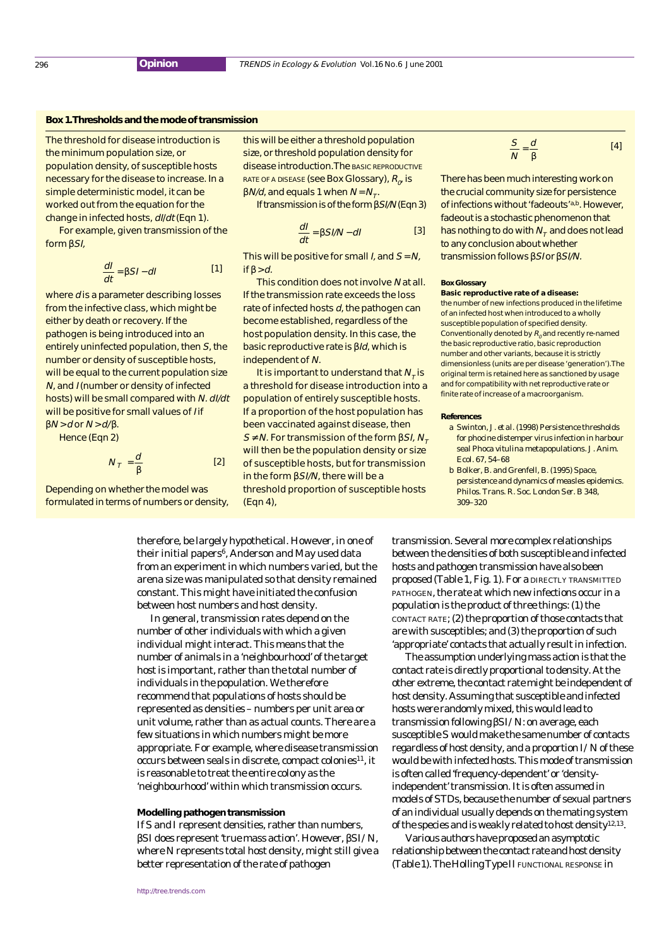## **Box 1.Thresholds and the mode of transmission**

The threshold for disease introduction is the minimum population size, or population density, of susceptible hosts necessary for the disease to increase. In a simple deterministic model, it can be worked out from the equation for the change in infected hosts, dI/dt (Eqn 1).

For example, given transmission of the form βSI,

$$
\frac{dl}{dt} = \beta SI - dl
$$
 [1]

where *d* is a parameter describing losses from the infective class, which might be either by death or recovery. If the pathogen is being introduced into an entirely uninfected population, then S, the number or density of susceptible hosts, will be equal to the current population size N, and I (number or density of infected hosts) will be small compared with N. dI/dt will be positive for small values of *I* if  $\beta N$  > d or  $N$  > d/ $\beta$ .

Hence (Eqn 2)

$$
N_T = \frac{d}{\beta} \tag{2}
$$

Depending on whether the model was formulated in terms of numbers or density,

this will be either a threshold population size, or threshold population density for disease introduction. The basic `REPRODUCTIVE RATE OF A DISEASE` (see Box Glossary), 
$$
R_{\sigma}
$$
 is  $\beta N/d$ , and equals 1 when  $N = N_{\tau}$ .

If transmission is of the form βSI/N (Eqn 3)

$$
\frac{dl}{dt} = \beta SI/N - dl
$$
 [3]

This will be positive for small *I*, and  $S = N$ , if  $\beta > d$ .

This condition does not involve N at all. If the transmission rate exceeds the loss rate of infected hosts  $d$ , the pathogen can become established, regardless of the host population density. In this case, the basic reproductive rate is βId, which is independent of N.

It is important to understand that  $N<sub>r</sub>$  is a threshold for disease introduction into a population of entirely susceptible hosts. If a proportion of the host population has been vaccinated against disease, then  $S ≠ N$ . For transmission of the form  $\beta SI$ ,  $N<sub>τ</sub>$ will then be the population density or size of susceptible hosts, but for transmission in the form βSI/N, there will be a threshold proportion of susceptible hosts (Eqn 4),

$$
\frac{S}{N} = \frac{d}{\beta} \tag{4}
$$

There has been much interesting work on the crucial community size for persistence of infections without 'fadeouts'a,b. However, fadeout is a stochastic phenomenon that has nothing to do with  $N<sub>z</sub>$  and does not lead to any conclusion about whether transmission follows βS/or βSI/N.

#### **Box Glossary**

**Basic reproductive rate of a disease:** the number of new infections produced in the lifetime of an infected host when introduced to a wholly susceptible population of specified density. Conventionally denoted by  $R_0$  and recently re-named the basic reproductive ratio, basic reproduction number and other variants, because it is strictly dimensionless (units are per disease 'generation'). The original term is retained here as sanctioned by usage and for compatibility with net reproductive rate or finite rate of increase of a macroorganism.

#### **References**

- a Swinton, J. *et al.* (1998) Persistence thresholds for phocine distemper virus infection in harbour seal *Phoca vitulina* metapopulations. *J. Anim. Ecol.* 67, 54–68
- b Bolker, B. and Grenfell, B. (1995) Space, persistence and dynamics of measles epidemics. *Philos. Trans. R. Soc. London Ser. B* 348, 309–320

therefore, be largely hypothetical. However, in one of their initial papers<sup>6</sup>, Anderson and May used data from an experiment in which numbers varied, but the arena size was manipulated so that density remained constant. This might have initiated the confusion between host numbers and host density.

In general, transmission rates depend on the number of other individuals with which a given individual might interact. This means that the number of animals in a 'neighbourhood' of the target host is important, rather than the total number of individuals in the population. We therefore recommend that populations of hosts should be represented as densities – numbers per unit area or unit volume, rather than as actual counts. There are a few situations in which numbers might be more appropriate. For example, where disease transmission  $occurs$  between seals in discrete, compact colonies<sup>11</sup>, it is reasonable to treat the entire colony as the 'neighbourhood' within which transmission occurs.

#### **Modelling pathogen transmission**

If *S*and *I* represent densities, rather than numbers, β*SI* does represent 'true mass action'. However, β*SI/N*, where *N* represents total host density, might still give a better representation of the rate of pathogen

transmission. Several more complex relationships between the densities of both susceptible and infected hosts and pathogen transmission have also been proposed (Table 1, Fig. 1). For a DIRECTLY TRANSMITTED PATHOGEN, the rate at which new infections occur in a population is the product of three things: (1) the CONTACT RATE; (2) the proportion of those contacts that are with susceptibles; and (3) the proportion of such 'appropriate' contacts that actually result in infection.

The assumption underlying mass action is that the contact rate is directly proportional to density. At the other extreme, the contact rate might be independent of host density. Assuming that susceptible and infected hosts were randomly mixed, this would lead to transmission following β*SI/N*: on average, each susceptible *S* would make the same number of contacts regardless of host density, and a proportion *I/N* of these would be with infected hosts. This mode of transmission is often called 'frequency-dependent' or 'densityindependent' transmission. It is often assumed in models of STDs, because the number of sexual partners of an individual usually depends on the mating system of the species and is weakly related to host density12,13.

Various authors have proposed an asymptotic relationship between the contact rate and host density (Table 1). The Holling Type II FUNCTIONAL RESPONSE in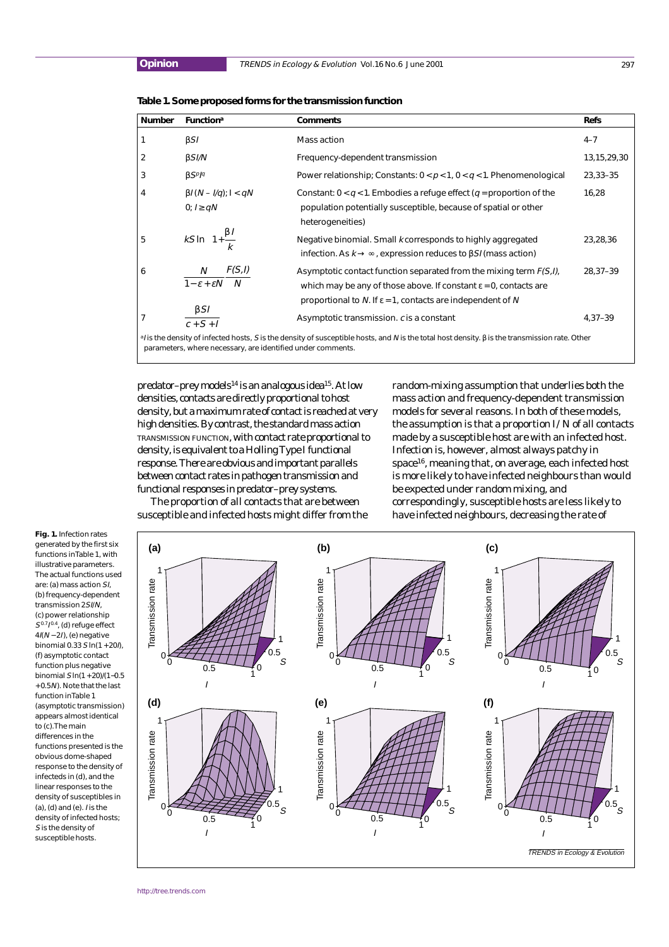**Table 1. Some proposed forms for the transmission function**

| <b>Number</b>                                                                                                                                              | <b>Function</b> <sup>a</sup>                       | <b>Comments</b>                                                                                                                                                                                                                   | <b>Refs</b>    |
|------------------------------------------------------------------------------------------------------------------------------------------------------------|----------------------------------------------------|-----------------------------------------------------------------------------------------------------------------------------------------------------------------------------------------------------------------------------------|----------------|
|                                                                                                                                                            | BSI                                                | Mass action                                                                                                                                                                                                                       | $4 - 7$        |
| 2                                                                                                                                                          | BSI/N                                              | Frequency-dependent transmission                                                                                                                                                                                                  | 13, 15, 29, 30 |
| 3                                                                                                                                                          | $\beta$ SPIq                                       | Power relationship; Constants: $0 < p < 1$ , $0 < q < 1$ . Phenomenological                                                                                                                                                       | 23,33-35       |
| 4                                                                                                                                                          | $\beta I(N - I/q)$ ; $I < qN$<br>0; $I \ge qN$     | Constant: $0 < q < 1$ . Embodies a refuge effect (q = proportion of the<br>population potentially susceptible, because of spatial or other<br>heterogeneities)                                                                    | 16,28          |
| 5                                                                                                                                                          | $kS \ln \left(1+\frac{\beta l}{k}\right)$          | Negative binomial. Small k corresponds to highly aggregated<br>infection. As $k \to \infty$ , expression reduces to $\beta SI$ (mass action)                                                                                      | 23,28,36       |
| 6                                                                                                                                                          | F(S,I)<br>N<br>$1 - \varepsilon + \varepsilon N$ N | Asymptotic contact function separated from the mixing term $F(S, I)$ ,<br>which may be any of those above. If constant $\varepsilon = 0$ , contacts are<br>proportional to N. If $\varepsilon$ = 1, contacts are independent of N | 28,37-39       |
| 7                                                                                                                                                          | $\beta$ SI<br>$\overline{c+S+I}$                   | Asymptotic transmission. c is a constant                                                                                                                                                                                          | $4,37-39$      |
| <sup>a</sup> / is the density of infected hosts, S is the density of susceptible hosts, and N is the total host density. β is the transmission rate. Other |                                                    |                                                                                                                                                                                                                                   |                |

parameters, where necessary, are identified under comments.

predator-prey models<sup>14</sup> is an analogous idea<sup>15</sup>. At low densities, contacts are directly proportional to host density, but a maximum rate of contact is reached at very high densities. By contrast, the standard mass action TRANSMISSION FUNCTION, with contact rate proportional to density, is equivalent to a Holling Type I functional response. There are obvious and important parallels between contact rates in pathogen transmission and functional responses in predator–prey systems.

random-mixing assumption that underlies both the mass action and frequency-dependent transmission models for several reasons. In both of these models, the assumption is that a proportion *I/N* of all contacts made by a susceptible host are with an infected host. Infection is, however, almost always patchy in space<sup>16</sup>, meaning that, on average, each infected host is more likely to have infected neighbours than would be expected under random mixing, and correspondingly, susceptible hosts are less likely to have infected neighbours, decreasing the rate of

The proportion of all contacts that are between susceptible and infected hosts might differ from the

**Fig. 1.** Infection rates generated by the first six functions in Table 1, with illustrative parameters. The actual functions used are: (a) mass action SI, (b) frequency-dependent transmission 2SI/N, (c) power relationship  $S^{0.7}I^{0.4}$ , (d) refuge effect  $4I(N-2I)$ , (e) negative binomial 0.33  $\sin(1 + 20)$ (f) asymptotic contact function plus negative binomial S ln(1 + 20)/(1−0.5 + 0.5N). Note that the last function in Table 1 (asymptotic transmission) appears almost identical to (c). The main differences in the functions presented is the obvious dome-shaped response to the density of infecteds in (d), and the linear responses to the density of susceptibles in (a), (d) and (e). I is the density of infected hosts; S is the density of susceptible hosts.

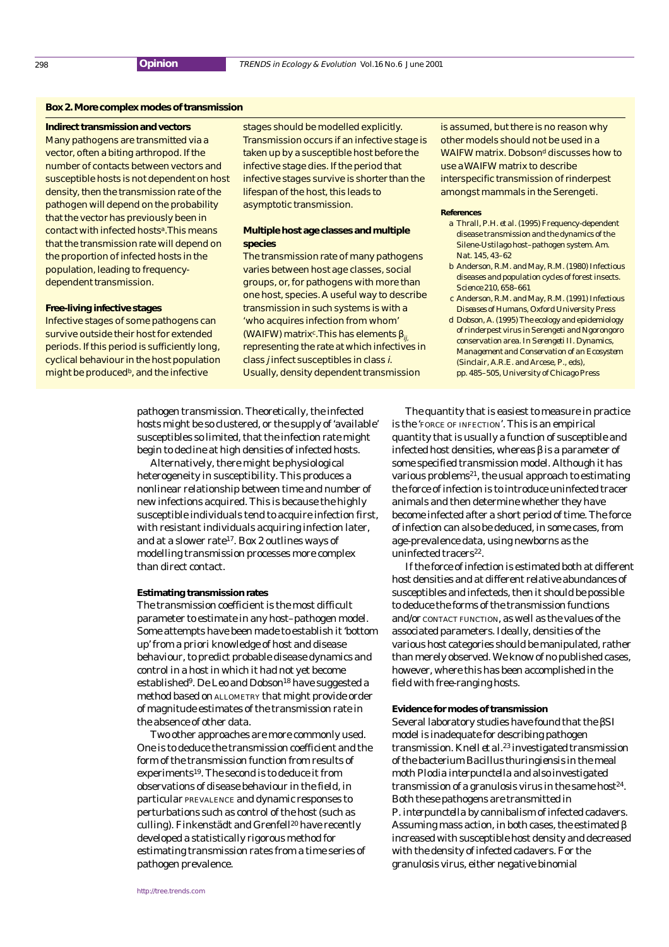## **Box 2. More complex modes of transmission**

#### **Indirect transmission and vectors**

Many pathogens are transmitted via a vector, often a biting arthropod. If the number of contacts between vectors and susceptible hosts is not dependent on host density, then the transmission rate of the pathogen will depend on the probability that the vector has previously been in contact with infected hostsa. This means that the transmission rate will depend on the proportion of infected hosts in the population, leading to frequencydependent transmission.

#### **Free-living infective stages**

Infective stages of some pathogens can survive outside their host for extended periods. If this period is sufficiently long, cyclical behaviour in the host population might be produced<sup>b</sup>, and the infective

stages should be modelled explicitly. Transmission occurs if an infective stage is taken up by a susceptible host before the infective stage dies. If the period that infective stages survive is shorter than the lifespan of the host, this leads to asymptotic transmission.

## **Multiple host age classes and multiple species**

The transmission rate of many pathogens varies between host age classes, social groups, or, for pathogens with more than one host, species. A useful way to describe transmission in such systems is with a 'who acquires infection from whom' (WAIFW) matrix<sup>c</sup>. This has elements  $\beta_{ii}$ representing the rate at which infectives in class j infect susceptibles in class i. Usually, density dependent transmission

is assumed, but there is no reason why other models should not be used in a WAIFW matrix. Dobson<sup>d</sup> discusses how to use a WAIFW matrix to describe interspecific transmission of rinderpest amongst mammals in the Serengeti.

#### **References**

- a Thrall, P.H. *et al.* (1995) Frequency-dependent disease transmission and the dynamics of the Silene-Ustilago host–pathogen system. *Am. Nat.* 145, 43–62
- b Anderson, R.M. and May, R.M. (1980) Infectious diseases and population cycles of forest insects. *Science* 210, 658–661
- c Anderson, R.M. and May, R.M. (1991) *Infectious Diseases of Humans*, Oxford University Press
- d Dobson, A. (1995) The ecology and epidemiology of rinderpest virus in Serengeti and Ngorongoro conservation area. In *Serengeti II. Dynamics, Management and Conservation of an Ecosystem* (Sinclair, A.R.E. and Arcese, P., eds), pp. 485–505, University of Chicago Press

pathogen transmission. Theoretically, the infected hosts might be so clustered, or the supply of 'available' susceptibles so limited, that the infection rate might begin to decline at high densities of infected hosts.

Alternatively, there might be physiological heterogeneity in susceptibility. This produces a nonlinear relationship between time and number of new infections acquired. This is because the highly susceptible individuals tend to acquire infection first, with resistant individuals acquiring infection later, and at a slower rate<sup>17</sup>. Box 2 outlines ways of modelling transmission processes more complex than direct contact.

#### **Estimating transmission rates**

The transmission coefficient is the most difficult parameter to estimate in any host–pathogen model. Some attempts have been made to establish it 'bottom up' from *a priori* knowledge of host and disease behaviour, to predict probable disease dynamics and control in a host in which it had not yet become established<sup>9</sup>. De Leo and Dobson<sup>18</sup> have suggested a method based on ALLOMETRY that might provide order of magnitude estimates of the transmission rate in the absence of other data.

Two other approaches are more commonly used. One is to deduce the transmission coefficient and the form of the transmission function from results of experiments19. The second is to deduce it from observations of disease behaviour in the field, in particular PREVALENCE and dynamic responses to perturbations such as control of the host (such as culling). Finkenstädt and Grenfell<sup>20</sup> have recently developed a statistically rigorous method for estimating transmission rates from a time series of pathogen prevalence.

The quantity that is easiest to measure in practice is the 'FORCE OF INFECTION'. This is an empirical quantity that is usually a function of susceptible and infected host densities, whereas β is a parameter of some specified transmission model. Although it has various problems $^{21}$ , the usual approach to estimating the force of infection is to introduce uninfected tracer animals and then determine whether they have become infected after a short period of time. The force of infection can also be deduced, in some cases, from age-prevalence data, using newborns as the uninfected tracers<sup>22</sup>.

If the force of infection is estimated both at different host densities and at different relative abundances of susceptibles and infecteds, then it should be possible to deduce the forms of the transmission functions and/or CONTACT FUNCTION, as well as the values of the associated parameters. Ideally, densities of the various host categories should be manipulated, rather than merely observed. We know of no published cases, however, where this has been accomplished in the field with free-ranging hosts.

### **Evidence for modes of transmission**

Several laboratory studies have found that the β*SI* model is inadequate for describing pathogen transmission. Knell *et al.*<sup>23</sup> investigated transmission of the bacterium *Bacillus thuringiensis* in the meal moth *Plodia interpunctella* and also investigated transmission of a granulosis virus in the same host $24$ . Both these pathogens are transmitted in *P. interpunctella* by cannibalism of infected cadavers. Assuming mass action, in both cases, the estimated β increased with susceptible host density and decreased with the density of infected cadavers. For the granulosis virus, either negative binomial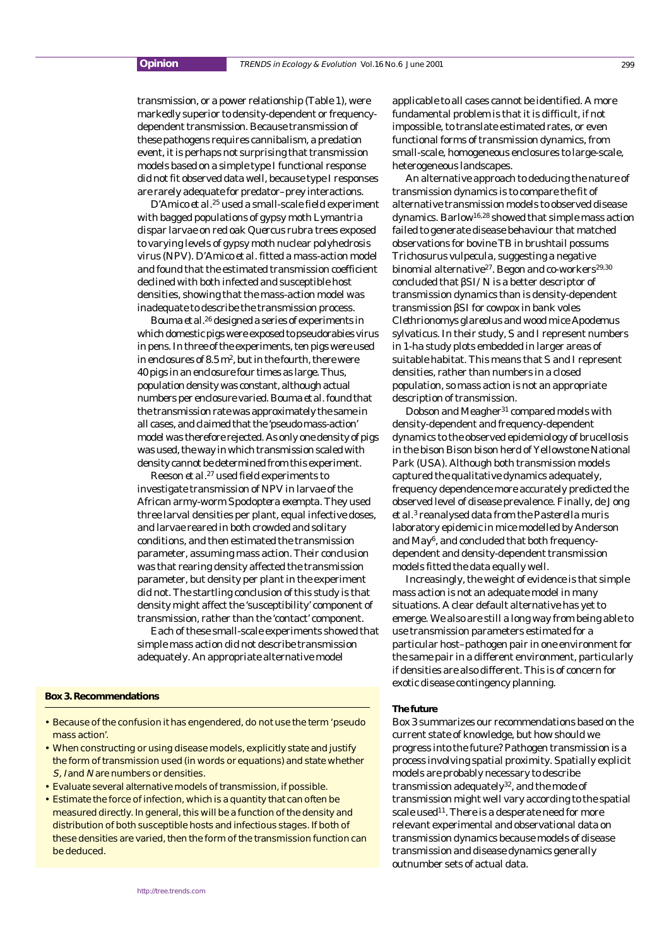transmission, or a power relationship (Table 1), were markedly superior to density-dependent or frequencydependent transmission. Because transmission of these pathogens requires cannibalism, a predation event, it is perhaps not surprising that transmission models based on a simple type I functional response did not fit observed data well, because type I responses are rarely adequate for predator–prey interactions.

D'Amico *et al.*<sup>25</sup> used a small-scale field experiment with bagged populations of gypsy moth *Lymantria dispar* larvae on red oak *Quercus rubra* trees exposed to varying levels of gypsy moth nuclear polyhedrosis virus (NPV). D'Amico *et al.* fitted a mass-action model and found that the estimated transmission coefficient declined with both infected and susceptible host densities, showing that the mass-action model was inadequate to describe the transmission process.

Bouma *et al.*<sup>26</sup> designed a series of experiments in which domestic pigs were exposed to pseudorabies virus in pens. In three of the experiments, ten pigs were used in enclosures of  $8.5 \text{ m}^2$ , but in the fourth, there were 40 pigs in an enclosure four times as large. Thus, population density was constant, although actual numbers per enclosure varied. Bouma *et al.* found that the transmission rate was approximately the same in all cases, and claimed that the 'pseudo mass-action' model was therefore rejected. As only one density of pigs was used, the way in which transmission scaled with density cannot be determined from this experiment.

Reeson *et al.*<sup>27</sup> used field experiments to investigate transmission of NPV in larvae of the African army-worm *Spodoptera exempta*. They used three larval densities per plant, equal infective doses, and larvae reared in both crowded and solitary conditions, and then estimated the transmission parameter, assuming mass action. Their conclusion was that rearing density affected the transmission parameter, but density per plant in the experiment did not. The startling conclusion of this study is that density might affect the 'susceptibility' component of transmission, rather than the 'contact' component.

Each of these small-scale experiments showed that simple mass action did not describe transmission adequately. An appropriate alternative model

## **Box 3. Recommendations**

- Because of the confusion it has engendered, do not use the term 'pseudo mass action'.
- When constructing or using disease models, explicitly state and justify the form of transmission used (in words or equations) and state whether S, I and N are numbers or densities.
- Evaluate several alternative models of transmission, if possible.
- Estimate the force of infection, which is a quantity that can often be measured directly. In general, this will be a function of the density and distribution of both susceptible hosts and infectious stages. If both of these densities are varied, then the form of the transmission function can be deduced.

applicable to all cases cannot be identified. A more fundamental problem is that it is difficult, if not impossible, to translate estimated rates, or even functional forms of transmission dynamics, from small-scale, homogeneous enclosures to large-scale, heterogeneous landscapes.

An alternative approach to deducing the nature of transmission dynamics is to compare the fit of alternative transmission models to observed disease dynamics. Barlow16,28 showed that simple mass action failed to generate disease behaviour that matched observations for bovine TB in brushtail possums *Trichosurus vulpecula*, suggesting a negative binomial alternative<sup>27</sup>. Begon and co-workers<sup>29,30</sup> concluded that β*SI/N* is a better descriptor of transmission dynamics than is density-dependent transmission β*SI* for cowpox in bank voles *Clethrionomys glareolus* and wood mice *Apodemus sylvaticus*. In their study, *S* and *I* represent numbers in 1-ha study plots embedded in larger areas of suitable habitat. This means that *S* and *I* represent densities, rather than numbers in a closed population, so mass action is not an appropriate description of transmission.

Dobson and Meagher<sup>31</sup> compared models with density-dependent and frequency-dependent dynamics to the observed epidemiology of brucellosis in the bison *Bison bison* herd of Yellowstone National Park (USA). Although both transmission models captured the qualitative dynamics adequately, frequency dependence more accurately predicted the observed level of disease prevalence. Finally, de Jong *et al*. <sup>3</sup> reanalysed data from the *Pasterella muris* laboratory epidemic in mice modelled by Anderson and May<sup>6</sup>, and concluded that both frequencydependent and density-dependent transmission models fitted the data equally well.

Increasingly, the weight of evidence is that simple mass action is not an adequate model in many situations. A clear default alternative has yet to emerge. We also are still a long way from being able to use transmission parameters estimated for a particular host–pathogen pair in one environment for the same pair in a different environment, particularly if densities are also different. This is of concern for exotic disease contingency planning.

#### **The future**

Box 3 summarizes our recommendations based on the current state of knowledge, but how should we progress into the future? Pathogen transmission is a process involving spatial proximity. Spatially explicit models are probably necessary to describe transmission adequately<sup>32</sup>, and the mode of transmission might well vary according to the spatial scale used<sup>11</sup>. There is a desperate need for more relevant experimental and observational data on transmission dynamics because models of disease transmission and disease dynamics generally outnumber sets of actual data.